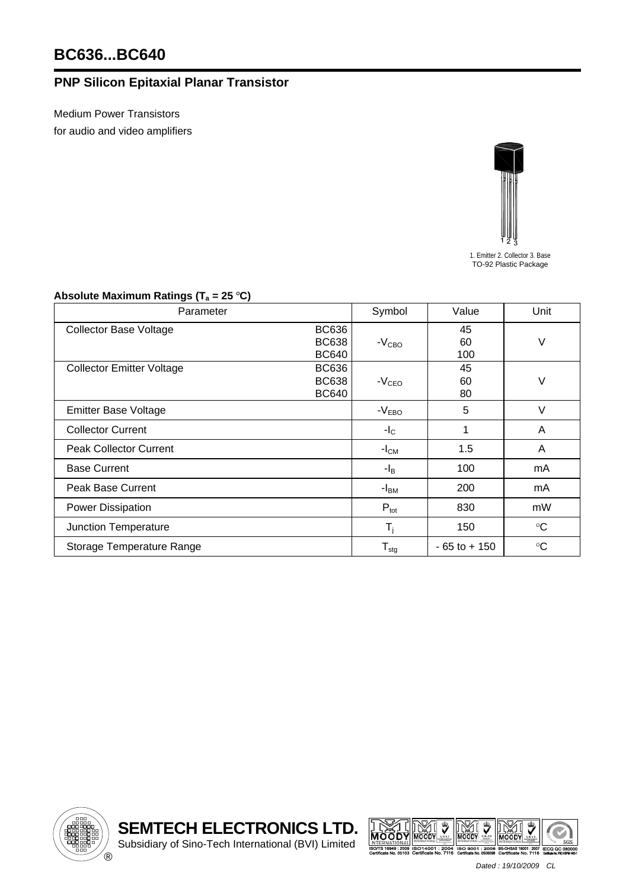## **PNP Silicon Epitaxial Planar Transistor**

Medium Power Transistors for audio and video amplifiers



1. Emitter 2. Collector 3. Base TO-92 Plastic Package

## Absolute Maximum Ratings (T<sub>a</sub> = 25 °C)

| Parameter                                                                        | Symbol                       | Value           | Unit            |
|----------------------------------------------------------------------------------|------------------------------|-----------------|-----------------|
| <b>BC636</b><br><b>Collector Base Voltage</b><br><b>BC638</b><br><b>BC640</b>    | $-VCBO$                      | 45<br>60<br>100 | ٧               |
| <b>BC636</b><br><b>Collector Emitter Voltage</b><br><b>BC638</b><br><b>BC640</b> | $-VCEO$                      | 45<br>60<br>80  | V               |
| <b>Emitter Base Voltage</b>                                                      | $-VEBO$                      | 5               | $\vee$          |
| <b>Collector Current</b>                                                         | $-I_{\rm C}$                 | 1               | A               |
| <b>Peak Collector Current</b>                                                    | $-ICM$                       | 1.5             | A               |
| <b>Base Current</b>                                                              | $-I_B$                       | 100             | mA              |
| <b>Peak Base Current</b>                                                         | $-IBM$                       | 200             | mA              |
| <b>Power Dissipation</b>                                                         | $P_{\text{tot}}$             | 830             | mW              |
| Junction Temperature                                                             | $T_i$                        | 150             | $\rm ^{\circ}C$ |
| Storage Temperature Range                                                        | ${\mathsf T}_{\textsf{stg}}$ | $-65$ to $+150$ | $\rm ^{\circ}C$ |



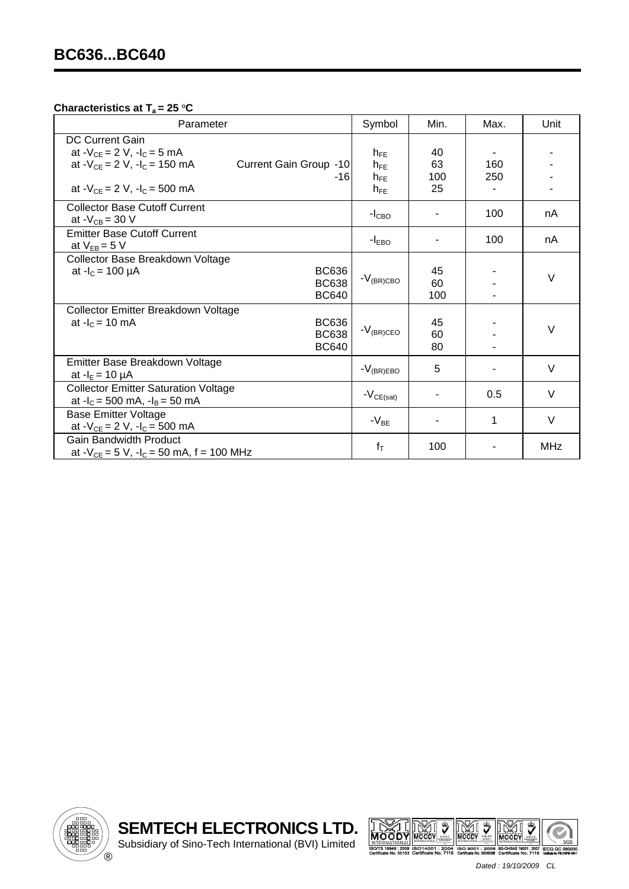## **Characteristics at T<sub>a</sub> = 25 °C**

| Parameter                                                                                                                      | Symbol               | Min.            | Max. | Unit   |
|--------------------------------------------------------------------------------------------------------------------------------|----------------------|-----------------|------|--------|
| <b>DC Current Gain</b><br>at $-V_{CE} = 2 V$ , $-I_C = 5 mA$<br>at $-V_{CE} = 2 V$ , $-I_C = 150$ mA<br>Current Gain Group -10 | $h_{FF}$<br>$h_{FF}$ | 40<br>63        | 160  |        |
| -16<br>at $-V_{CE} = 2 V$ , $-I_C = 500$ mA                                                                                    | $h_{FF}$<br>$h_{FE}$ | 100<br>25       | 250  |        |
| <b>Collector Base Cutoff Current</b><br>at $-V_{CB} = 30 V$                                                                    | $-I_{\text{CBO}}$    |                 | 100  | nA     |
| <b>Emitter Base Cutoff Current</b><br>at $V_{EB} = 5 V$                                                                        | $-I_{EBO}$           |                 | 100  | nA     |
| Collector Base Breakdown Voltage<br><b>BC636</b><br>at $-I_c = 100 \mu A$<br><b>BC638</b><br><b>BC640</b>                      | $-V_{\rm (BR) CBO}$  | 45<br>60<br>100 |      | V      |
| Collector Emitter Breakdown Voltage<br><b>BC636</b><br>at $-I_c = 10$ mA<br><b>BC638</b><br><b>BC640</b>                       | $-V_{(BR)CEO}$       | 45<br>60<br>80  |      | V      |
| Emitter Base Breakdown Voltage<br>at $-I_E = 10 \mu A$                                                                         | $-V_{(BR)EBO}$       | 5               |      | $\vee$ |
| <b>Collector Emitter Saturation Voltage</b><br>at $-I_c = 500$ mA, $-I_B = 50$ mA                                              | $-V_{CE(sat)}$       |                 | 0.5  | V      |
| <b>Base Emitter Voltage</b><br>at $-V_{CE} = 2 V$ , $-I_C = 500$ mA                                                            | $-V_{BE}$            |                 | 1    | $\vee$ |
| <b>Gain Bandwidth Product</b><br>at $-V_{CE} = 5 V$ , $-I_C = 50 mA$ , f = 100 MHz                                             | $f_T$                | 100             |      | MHz    |